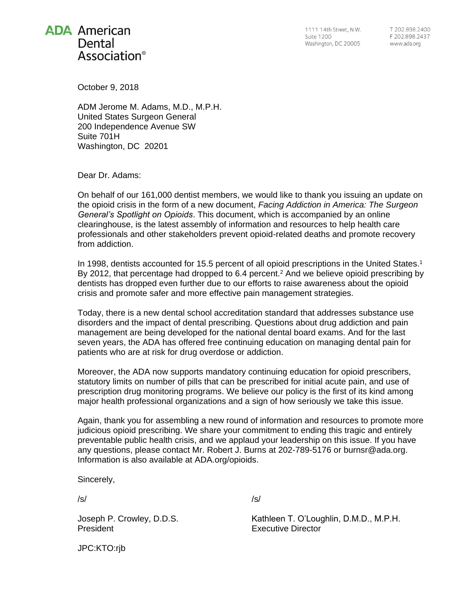

1111 14th Street, N.W. **Suite 1200** Washington, DC 20005

T 202 898 2400 F 202.898.2437 www.ada.org

October 9, 2018

ADM Jerome M. Adams, M.D., M.P.H. United States Surgeon General 200 Independence Avenue SW Suite 701H Washington, DC 20201

Dear Dr. Adams:

On behalf of our 161,000 dentist members, we would like to thank you issuing an update on the opioid crisis in the form of a new document, *Facing Addiction in America: The Surgeon General's Spotlight on Opioids*. This document, which is accompanied by an online clearinghouse, is the latest assembly of information and resources to help health care professionals and other stakeholders prevent opioid-related deaths and promote recovery from addiction.

In 1998, dentists accounted for 15.5 percent of all opioid prescriptions in the United States. 1 By 2012, that percentage had dropped to  $6.4$  percent.<sup>2</sup> And we believe opioid prescribing by dentists has dropped even further due to our efforts to raise awareness about the opioid crisis and promote safer and more effective pain management strategies.

Today, there is a new dental school accreditation standard that addresses substance use disorders and the impact of dental prescribing. Questions about drug addiction and pain management are being developed for the national dental board exams. And for the last seven years, the ADA has offered free continuing education on managing dental pain for patients who are at risk for drug overdose or addiction.

Moreover, the ADA now supports mandatory continuing education for opioid prescribers, statutory limits on number of pills that can be prescribed for initial acute pain, and use of prescription drug monitoring programs. We believe our policy is the first of its kind among major health professional organizations and a sign of how seriously we take this issue.

Again, thank you for assembling a new round of information and resources to promote more judicious opioid prescribing. We share your commitment to ending this tragic and entirely preventable public health crisis, and we applaud your leadership on this issue. If you have any questions, please contact Mr. Robert J. Burns at 202-789-5176 or [burnsr@ada.org.](mailto:burnsr@ada.org) Information is also available at [ADA.org/opioids.](http://ada.org/opioids)

Sincerely,

/s/

Joseph P. Crowley, D.D.S. President

/s/

Kathleen T. O'Loughlin, D.M.D., M.P.H. Executive Director

JPC:KTO:rjb